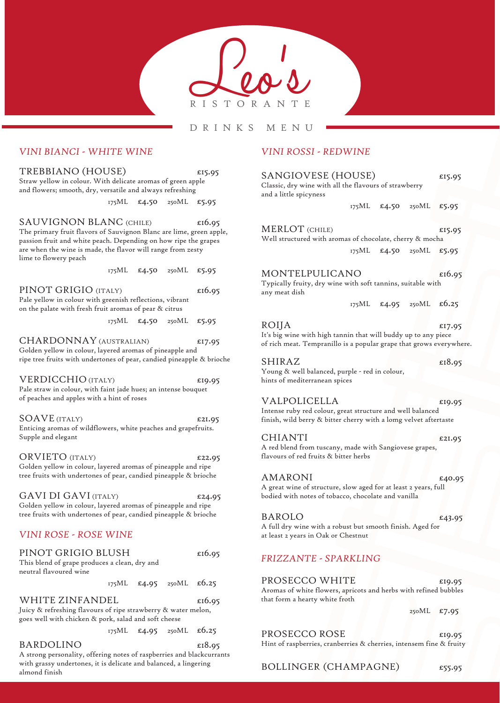

#### DRINKS MENU

### *VINI BIANCI - WHITE WINE*

TREBBIANO (HOUSE)  $5.95$ Straw yellow in colour. With delicate aromas of green apple and flowers; smooth, dry, versatile and always refreshing

175ML £4.50 250ML £5.95

SAUVIGNON BLANC (CHILE)  $\epsilon$ 16.95 The primary fruit flavors of Sauvignon Blanc are lime, green apple, passion fruit and white peach. Depending on how ripe the grapes are when the wine is made, the flavor will range from zesty lime to flowery peach

175ML £4.50 250ML £5.95

PINOT GRIGIO (ITALY)  $\epsilon$ 16.95 Pale yellow in colour with greenish reflections, vibrant on the palate with fresh fruit aromas of pear & citrus

175ML £4.50 250ML £5.95

CHARDONNAY (AUSTRALIAN)  $\epsilon$ 17.95 Golden yellow in colour, layered aromas of pineapple and ripe tree fruits with undertones of pear, candied pineapple & brioche

VERDICCHIO (ITALY) £19.95 Pale straw in colour, with faint jade hues; an intense bouquet of peaches and apples with a hint of roses

SOAVE (ITALY)  $\epsilon$ 21.95 Enticing aromas of wildflowers, white peaches and grapefruits. Supple and elegant

ORVIETO (ITALY)  $\epsilon$ 22.95 Golden yellow in colour, layered aromas of pineapple and ripe tree fruits with undertones of pear, candied pineapple & brioche

GAVI DI GAVI (ITALY)  $\epsilon$ 24.95 Golden yellow in colour, layered aromas of pineapple and ripe tree fruits with undertones of pear, candied pineapple & brioche

## *VINI ROSE - ROSE WINE*

| PINOT GRIGIO BLUSH                            |  |  |                                                       | £16.95 |
|-----------------------------------------------|--|--|-------------------------------------------------------|--------|
| This blend of grape produces a clean, dry and |  |  |                                                       |        |
| neutral flavoured wine                        |  |  |                                                       |        |
|                                               |  |  | 175ML $\text{\pounds}4.95$ 250ML $\text{\pounds}6.25$ |        |
| WHITE ZINFANDEL                               |  |  |                                                       |        |

Juicy & refreshing flavours of ripe strawberry & water melon, goes well with chicken & pork, salad and soft cheese

175ML £4.95 250ML £6.25

#### BARDOLINO  $£18.95$

A strong personality, offering notes of raspberries and blackcurrants with grassy undertones, it is delicate and balanced, a lingering almond finish

## *VINI ROSSI - REDWINE*

| SANGIOVESE (HOUSE)<br>Classic, dry wine with all the flavours of strawberry<br>and a little spicyness                                          |  |  |                         | £15.95 |
|------------------------------------------------------------------------------------------------------------------------------------------------|--|--|-------------------------|--------|
|                                                                                                                                                |  |  | 175ML £4.50 250ML       | £5.95  |
| <b>MERLOT</b> (CHILE)<br>Well structured with aromas of chocolate, cherry & mocha                                                              |  |  |                         | £15.95 |
|                                                                                                                                                |  |  | 175ML £4.50 250ML       | £5.95  |
| MONTELPULICANO<br>Typically fruity, dry wine with soft tannins, suitable with<br>any meat dish                                                 |  |  |                         | £16.95 |
|                                                                                                                                                |  |  | 175ML £4.95 250ML £6.25 |        |
| ROIJA<br>It's big wine with high tannin that will buddy up to any piece<br>of rich meat. Tempranillo is a popular grape that grows everywhere. |  |  |                         | £17.95 |
| SHIRAZ                                                                                                                                         |  |  |                         | £18.95 |
| Young & well balanced, purple - red in colour,<br>hints of mediterranean spices                                                                |  |  |                         |        |
| VALPOLICELLA                                                                                                                                   |  |  |                         | £19.95 |
| Intense ruby red colour, great structure and well balanced<br>finish, wild berry & bitter cherry with a lomg velvet aftertaste                 |  |  |                         |        |
| <b>CHIANTI</b><br>A red blend from tuscany, made with Sangiovese grapes,<br>flavours of red fruits & bitter herbs                              |  |  |                         | £21.95 |
| AMARONI<br>A great wine of structure, slow aged for at least 2 years, full<br>bodied with notes of tobacco, chocolate and vanilla              |  |  |                         | £40.95 |
| BAROLO<br>A full dry wine with a robust but smooth finish. Aged for<br>at least 2 years in Oak or Chestnut                                     |  |  |                         | £43.95 |
| <b>FRIZZANTE - SPARKLING</b>                                                                                                                   |  |  |                         |        |
|                                                                                                                                                |  |  |                         |        |
| PROSECCO WHITE<br>Aromas of white flowers, apricots and herbs with refined bubbles<br>that form a hearty white froth                           |  |  |                         | £19.95 |

250ML £7.95

PROSECCO ROSE  $\epsilon$ 19.95

Hint of raspberries, cranberries & cherries, intensem fine & fruity

BOLLINGER (CHAMPAGNE) £55.95